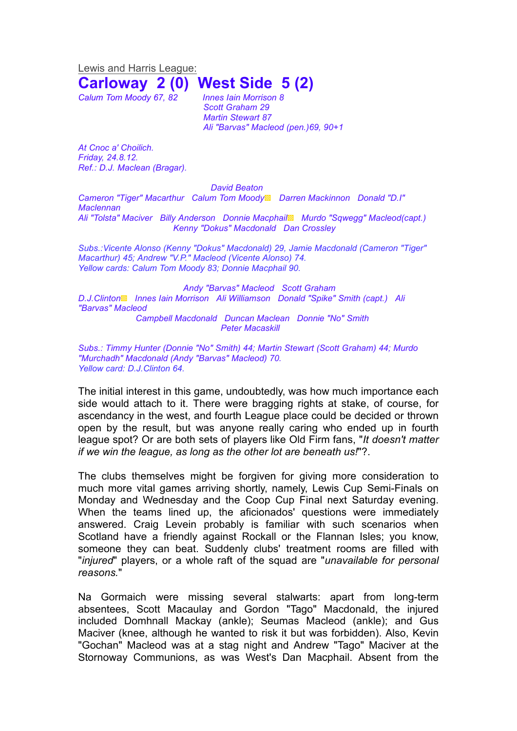Lewis and Harris League:

## **Carloway 2 (0) West Side 5 (2)**

*Calum Tom Moody 67, 82 Innes Iain Morrison 8*

*Scott Graham 29 Martin Stewart 87 Ali "Barvas" Macleod (pen.)69, 90+1*

*At Cnoc a' Choilich. Friday, 24.8.12. Ref.: D.J. Maclean (Bragar).*

## *David Beaton*

*Cameron "Tiger" Macarthur Calum Tom Moody*▩ *Darren Mackinnon Donald "D.I" Maclennan Ali "Tolsta" Maciver Billy Anderson Donnie Macphail*▩ *Murdo "Sqwegg" Macleod(capt.)*

*Kenny "Dokus" Macdonald Dan Crossley*

*Subs.:Vicente Alonso (Kenny "Dokus" Macdonald) 29, Jamie Macdonald (Cameron "Tiger" Macarthur) 45; Andrew "V.P." Macleod (Vicente Alonso) 74. Yellow cards: Calum Tom Moody 83; Donnie Macphail 90.*

## *Andy "Barvas" Macleod Scott Graham*

*D.J.Clinton*▩ *Innes Iain Morrison Ali Williamson Donald "Spike" Smith (capt.) Ali "Barvas" Macleod Campbell Macdonald Duncan Maclean Donnie "No" Smith*

*Peter Macaskill* 

*Subs.: Timmy Hunter (Donnie "No" Smith) 44; Martin Stewart (Scott Graham) 44; Murdo "Murchadh" Macdonald (Andy "Barvas" Macleod) 70. Yellow card: D.J.Clinton 64.*

The initial interest in this game, undoubtedly, was how much importance each side would attach to it. There were bragging rights at stake, of course, for ascendancy in the west, and fourth League place could be decided or thrown open by the result, but was anyone really caring who ended up in fourth league spot? Or are both sets of players like Old Firm fans, "*It doesn't matter if we win the league, as long as the other lot are beneath us!*"?.

The clubs themselves might be forgiven for giving more consideration to much more vital games arriving shortly, namely, Lewis Cup Semi-Finals on Monday and Wednesday and the Coop Cup Final next Saturday evening. When the teams lined up, the aficionados' questions were immediately answered. Craig Levein probably is familiar with such scenarios when Scotland have a friendly against Rockall or the Flannan Isles; you know, someone they can beat. Suddenly clubs' treatment rooms are filled with "*injured*" players, or a whole raft of the squad are "*unavailable for personal reasons.*"

Na Gormaich were missing several stalwarts: apart from long-term absentees, Scott Macaulay and Gordon "Tago" Macdonald, the injured included Domhnall Mackay (ankle); Seumas Macleod (ankle); and Gus Maciver (knee, although he wanted to risk it but was forbidden). Also, Kevin "Gochan" Macleod was at a stag night and Andrew "Tago" Maciver at the Stornoway Communions, as was West's Dan Macphail. Absent from the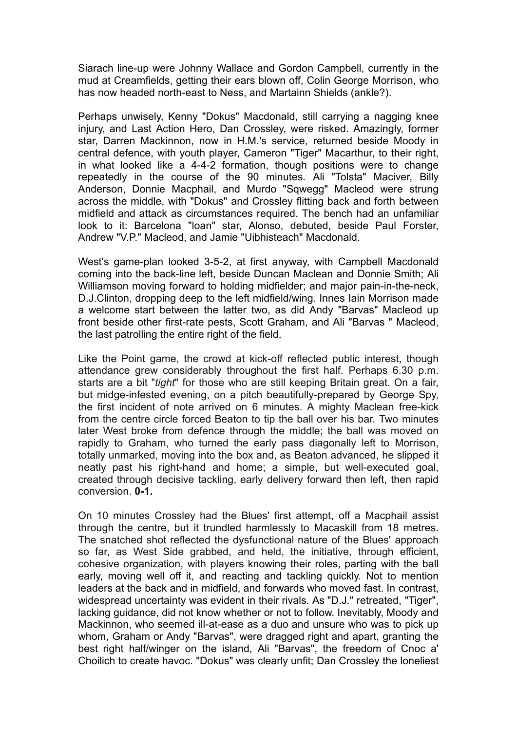Siarach line-up were Johnny Wallace and Gordon Campbell, currently in the mud at Creamfields, getting their ears blown off, Colin George Morrison, who has now headed north-east to Ness, and Martainn Shields (ankle?).

Perhaps unwisely, Kenny "Dokus" Macdonald, still carrying a nagging knee injury, and Last Action Hero, Dan Crossley, were risked. Amazingly, former star, Darren Mackinnon, now in H.M.'s service, returned beside Moody in central defence, with youth player, Cameron "Tiger" Macarthur, to their right, in what looked like a 4-4-2 formation, though positions were to change repeatedly in the course of the 90 minutes. Ali "Tolsta" Maciver, Billy Anderson, Donnie Macphail, and Murdo "Sqwegg" Macleod were strung across the middle, with "Dokus" and Crossley flitting back and forth between midfield and attack as circumstances required. The bench had an unfamiliar look to it: Barcelona "loan" star, Alonso, debuted, beside Paul Forster, Andrew "V.P." Macleod, and Jamie "Uibhisteach" Macdonald.

West's game-plan looked 3-5-2, at first anyway, with Campbell Macdonald coming into the back-line left, beside Duncan Maclean and Donnie Smith; Ali Williamson moving forward to holding midfielder; and major pain-in-the-neck, D.J.Clinton, dropping deep to the left midfield/wing. Innes Iain Morrison made a welcome start between the latter two, as did Andy "Barvas" Macleod up front beside other first-rate pests, Scott Graham, and Ali "Barvas " Macleod, the last patrolling the entire right of the field.

Like the Point game, the crowd at kick-off reflected public interest, though attendance grew considerably throughout the first half. Perhaps 6.30 p.m. starts are a bit "*tight*" for those who are still keeping Britain great. On a fair, but midge-infested evening, on a pitch beautifully-prepared by George Spy, the first incident of note arrived on 6 minutes. A mighty Maclean free-kick from the centre circle forced Beaton to tip the ball over his bar. Two minutes later West broke from defence through the middle; the ball was moved on rapidly to Graham, who turned the early pass diagonally left to Morrison, totally unmarked, moving into the box and, as Beaton advanced, he slipped it neatly past his right-hand and home; a simple, but well-executed goal, created through decisive tackling, early delivery forward then left, then rapid conversion. **0-1.**

On 10 minutes Crossley had the Blues' first attempt, off a Macphail assist through the centre, but it trundled harmlessly to Macaskill from 18 metres. The snatched shot reflected the dysfunctional nature of the Blues' approach so far, as West Side grabbed, and held, the initiative, through efficient, cohesive organization, with players knowing their roles, parting with the ball early, moving well off it, and reacting and tackling quickly. Not to mention leaders at the back and in midfield, and forwards who moved fast. In contrast, widespread uncertainty was evident in their rivals. As "D.J." retreated, "Tiger", lacking guidance, did not know whether or not to follow. Inevitably, Moody and Mackinnon, who seemed ill-at-ease as a duo and unsure who was to pick up whom, Graham or Andy "Barvas", were dragged right and apart, granting the best right half/winger on the island, Ali "Barvas", the freedom of Cnoc a' Choilich to create havoc. "Dokus" was clearly unfit; Dan Crossley the loneliest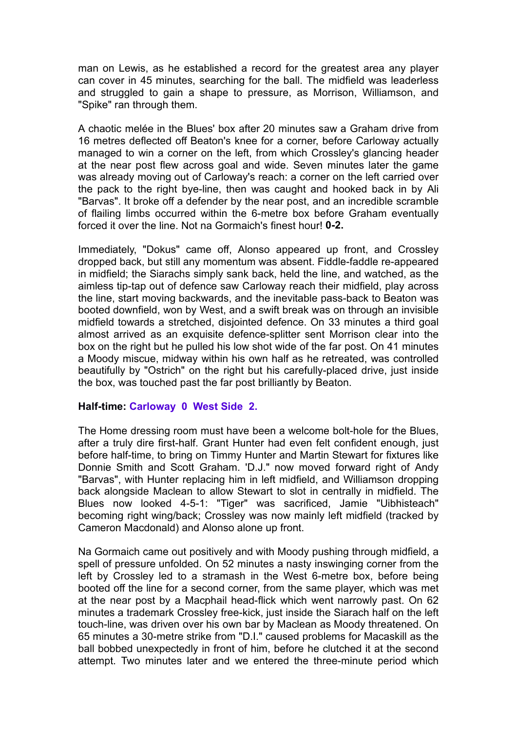man on Lewis, as he established a record for the greatest area any player can cover in 45 minutes, searching for the ball. The midfield was leaderless and struggled to gain a shape to pressure, as Morrison, Williamson, and "Spike" ran through them.

A chaotic melée in the Blues' box after 20 minutes saw a Graham drive from 16 metres deflected off Beaton's knee for a corner, before Carloway actually managed to win a corner on the left, from which Crossley's glancing header at the near post flew across goal and wide. Seven minutes later the game was already moving out of Carloway's reach: a corner on the left carried over the pack to the right bye-line, then was caught and hooked back in by Ali "Barvas". It broke off a defender by the near post, and an incredible scramble of flailing limbs occurred within the 6-metre box before Graham eventually forced it over the line. Not na Gormaich's finest hour! **0-2.**

Immediately, "Dokus" came off, Alonso appeared up front, and Crossley dropped back, but still any momentum was absent. Fiddle-faddle re-appeared in midfield; the Siarachs simply sank back, held the line, and watched, as the aimless tip-tap out of defence saw Carloway reach their midfield, play across the line, start moving backwards, and the inevitable pass-back to Beaton was booted downfield, won by West, and a swift break was on through an invisible midfield towards a stretched, disjointed defence. On 33 minutes a third goal almost arrived as an exquisite defence-splitter sent Morrison clear into the box on the right but he pulled his low shot wide of the far post. On 41 minutes a Moody miscue, midway within his own half as he retreated, was controlled beautifully by "Ostrich" on the right but his carefully-placed drive, just inside the box, was touched past the far post brilliantly by Beaton.

## **Half-time: Carloway 0 West Side 2.**

The Home dressing room must have been a welcome bolt-hole for the Blues, after a truly dire first-half. Grant Hunter had even felt confident enough, just before half-time, to bring on Timmy Hunter and Martin Stewart for fixtures like Donnie Smith and Scott Graham. 'D.J." now moved forward right of Andy "Barvas", with Hunter replacing him in left midfield, and Williamson dropping back alongside Maclean to allow Stewart to slot in centrally in midfield. The Blues now looked 4-5-1: "Tiger" was sacrificed, Jamie "Uibhisteach" becoming right wing/back; Crossley was now mainly left midfield (tracked by Cameron Macdonald) and Alonso alone up front.

Na Gormaich came out positively and with Moody pushing through midfield, a spell of pressure unfolded. On 52 minutes a nasty inswinging corner from the left by Crossley led to a stramash in the West 6-metre box, before being booted off the line for a second corner, from the same player, which was met at the near post by a Macphail head-flick which went narrowly past. On 62 minutes a trademark Crossley free-kick, just inside the Siarach half on the left touch-line, was driven over his own bar by Maclean as Moody threatened. On 65 minutes a 30-metre strike from "D.I." caused problems for Macaskill as the ball bobbed unexpectedly in front of him, before he clutched it at the second attempt. Two minutes later and we entered the three-minute period which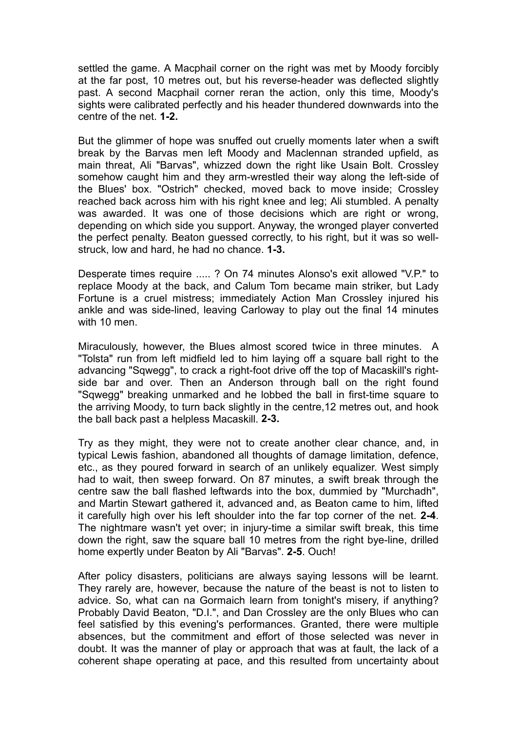settled the game. A Macphail corner on the right was met by Moody forcibly at the far post, 10 metres out, but his reverse-header was deflected slightly past. A second Macphail corner reran the action, only this time, Moody's sights were calibrated perfectly and his header thundered downwards into the centre of the net. **1-2.**

But the glimmer of hope was snuffed out cruelly moments later when a swift break by the Barvas men left Moody and Maclennan stranded upfield, as main threat, Ali "Barvas", whizzed down the right like Usain Bolt. Crossley somehow caught him and they arm-wrestled their way along the left-side of the Blues' box. "Ostrich" checked, moved back to move inside; Crossley reached back across him with his right knee and leg; Ali stumbled. A penalty was awarded. It was one of those decisions which are right or wrong, depending on which side you support. Anyway, the wronged player converted the perfect penalty. Beaton guessed correctly, to his right, but it was so wellstruck, low and hard, he had no chance. **1-3.**

Desperate times require ..... ? On 74 minutes Alonso's exit allowed "V.P." to replace Moody at the back, and Calum Tom became main striker, but Lady Fortune is a cruel mistress; immediately Action Man Crossley injured his ankle and was side-lined, leaving Carloway to play out the final 14 minutes with 10 men.

Miraculously, however, the Blues almost scored twice in three minutes. A "Tolsta" run from left midfield led to him laying off a square ball right to the advancing "Sqwegg", to crack a right-foot drive off the top of Macaskill's rightside bar and over. Then an Anderson through ball on the right found "Sqwegg" breaking unmarked and he lobbed the ball in first-time square to the arriving Moody, to turn back slightly in the centre,12 metres out, and hook the ball back past a helpless Macaskill. **2-3.**

Try as they might, they were not to create another clear chance, and, in typical Lewis fashion, abandoned all thoughts of damage limitation, defence, etc., as they poured forward in search of an unlikely equalizer. West simply had to wait, then sweep forward. On 87 minutes, a swift break through the centre saw the ball flashed leftwards into the box, dummied by "Murchadh", and Martin Stewart gathered it, advanced and, as Beaton came to him, lifted it carefully high over his left shoulder into the far top corner of the net. **2-4**. The nightmare wasn't yet over; in injury-time a similar swift break, this time down the right, saw the square ball 10 metres from the right bye-line, drilled home expertly under Beaton by Ali "Barvas". **2-5**. Ouch!

After policy disasters, politicians are always saying lessons will be learnt. They rarely are, however, because the nature of the beast is not to listen to advice. So, what can na Gormaich learn from tonight's misery, if anything? Probably David Beaton, "D.I.", and Dan Crossley are the only Blues who can feel satisfied by this evening's performances. Granted, there were multiple absences, but the commitment and effort of those selected was never in doubt. It was the manner of play or approach that was at fault, the lack of a coherent shape operating at pace, and this resulted from uncertainty about